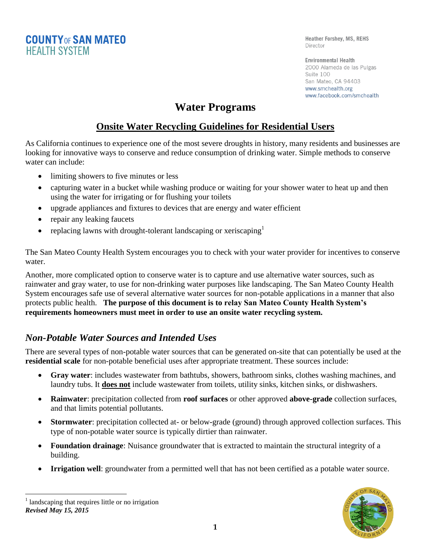**COUNTY OF SAN MATEO HEALTH SYSTEM** 

Heather Forshey, MS, REHS Director

**Environmental Health** 2000 Alameda de las Pulgas Suite 100 San Mateo, CA 94403 www.smchealth.org www.facebook.com/smchealth

# **Water Programs**

## **Onsite Water Recycling Guidelines for Residential Users**

As California continues to experience one of the most severe droughts in history, many residents and businesses are looking for innovative ways to conserve and reduce consumption of drinking water. Simple methods to conserve water can include:

- limiting showers to five minutes or less
- capturing water in a bucket while washing produce or waiting for your shower water to heat up and then using the water for irrigating or for flushing your toilets
- upgrade appliances and fixtures to devices that are energy and water efficient
- repair any leaking faucets
- replacing lawns with drought-tolerant landscaping or xeriscaping  $\mathbf{r}$

The San Mateo County Health System encourages you to check with your water provider for incentives to conserve water.

Another, more complicated option to conserve water is to capture and use alternative water sources, such as rainwater and gray water, to use for non-drinking water purposes like landscaping. The San Mateo County Health System encourages safe use of several alternative water sources for non-potable applications in a manner that also protects public health. **The purpose of this document is to relay San Mateo County Health System's requirements homeowners must meet in order to use an onsite water recycling system.**

## *Non-Potable Water Sources and Intended Uses*

There are several types of non-potable water sources that can be generated on-site that can potentially be used at the **residential scale** for non-potable beneficial uses after appropriate treatment. These sources include:

- **Gray water**: includes wastewater from bathtubs, showers, bathroom sinks, clothes washing machines, and laundry tubs. It **does not** include wastewater from toilets, utility sinks, kitchen sinks, or dishwashers.
- **Rainwater**: precipitation collected from **roof surfaces** or other approved **above-grade** collection surfaces, and that limits potential pollutants.
- **Stormwater**: precipitation collected at- or below-grade (ground) through approved collection surfaces. This type of non-potable water source is typically dirtier than rainwater.
- **Foundation drainage**: Nuisance groundwater that is extracted to maintain the structural integrity of a building.
- **Irrigation well**: groundwater from a permitted well that has not been certified as a potable water source.

*Revised May 15, 2015*  $\overline{a}$ <sup>1</sup> landscaping that requires little or no irrigation